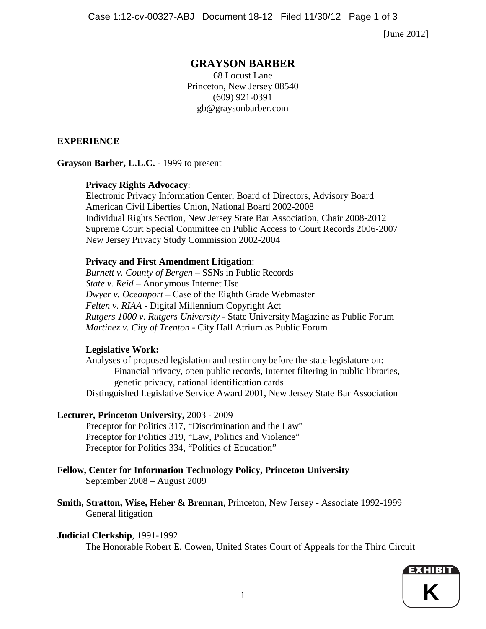Case 1:12-cv-00327-ABJ Document 18-12 Filed 11/30/12 Page 1 of 3

[June 2012]

# **GRAYSON BARBER**

68 Locust Lane Princeton, New Jersey 08540 (609) 921-0391 gb@graysonbarber.com

# **EXPERIENCE**

**Grayson Barber, L.L.C.** - 1999 to present

# **Privacy Rights Advocacy**:

Electronic Privacy Information Center, Board of Directors, Advisory Board American Civil Liberties Union, National Board 2002-2008 Individual Rights Section, New Jersey State Bar Association, Chair 2008-2012 Supreme Court Special Committee on Public Access to Court Records 2006-2007 New Jersey Privacy Study Commission 2002-2004

# **Privacy and First Amendment Litigation**:

*Burnett v. County of Bergen* – SSNs in Public Records *State v. Reid* – Anonymous Internet Use *Dwyer v. Oceanport* – Case of the Eighth Grade Webmaster *Felten v. RIAA* - Digital Millennium Copyright Act *Rutgers 1000 v. Rutgers University* - State University Magazine as Public Forum *Martinez v. City of Trenton* - City Hall Atrium as Public Forum

# **Legislative Work:**

Analyses of proposed legislation and testimony before the state legislature on: Financial privacy, open public records, Internet filtering in public libraries, genetic privacy, national identification cards Distinguished Legislative Service Award 2001, New Jersey State Bar Association

# **Lecturer, Princeton University,** 2003 - 2009

Preceptor for Politics 317, "Discrimination and the Law" Preceptor for Politics 319, "Law, Politics and Violence" Preceptor for Politics 334, "Politics of Education"

#### **Fellow, Center for Information Technology Policy, Princeton University** September 2008 – August 2009

**Smith, Stratton, Wise, Heher & Brennan**, Princeton, New Jersey - Associate 1992-1999 General litigation

# **Judicial Clerkship**, 1991-1992

The Honorable Robert E. Cowen, United States Court of Appeals for the Third Circuit

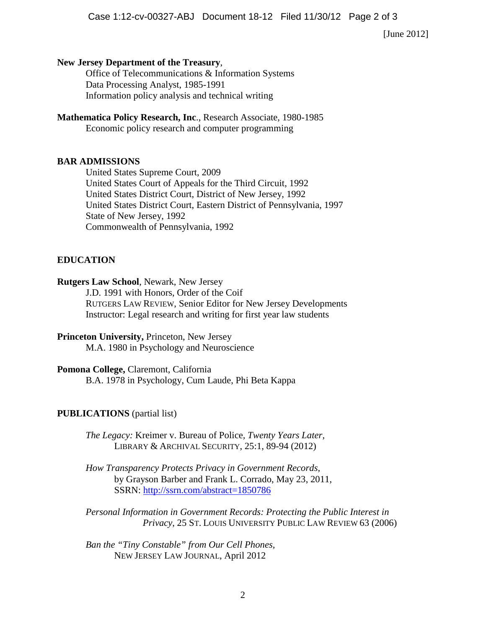[June 2012]

#### **New Jersey Department of the Treasury**,

Office of Telecommunications & Information Systems Data Processing Analyst, 1985-1991 Information policy analysis and technical writing

#### **Mathematica Policy Research, Inc**., Research Associate, 1980-1985 Economic policy research and computer programming

#### **BAR ADMISSIONS**

United States Supreme Court, 2009 United States Court of Appeals for the Third Circuit, 1992 United States District Court, District of New Jersey, 1992 United States District Court, Eastern District of Pennsylvania, 1997 State of New Jersey, 1992 Commonwealth of Pennsylvania, 1992

#### **EDUCATION**

### **Rutgers Law School**, Newark, New Jersey

J.D. 1991 with Honors, Order of the Coif RUTGERS LAW REVIEW, Senior Editor for New Jersey Developments Instructor: Legal research and writing for first year law students

### **Princeton University,** Princeton, New Jersey M.A. 1980 in Psychology and Neuroscience

### **Pomona College,** Claremont, California

B.A. 1978 in Psychology, Cum Laude, Phi Beta Kappa

#### **PUBLICATIONS** (partial list)

*The Legacy:* [Kreimer v. Bureau of Police](http://www.tandfonline.com/doi/abs/10.1080/01960075.2012.657948)*, Twenty Years Later,* LIBRARY & ARCHIVAL SECURITY, 25:1, 89-94 (2012)

*How Transparency Protects Privacy in Government Records,* by Grayson Barber and Frank L. Corrado, May 23, 2011, SSRN:<http://ssrn.com/abstract=1850786>

*Personal Information in Government Records: Protecting the Public Interest in Privacy*, 25 ST. LOUIS UNIVERSITY PUBLIC LAW REVIEW 63 (2006)

*Ban the "Tiny Constable" from Our Cell Phones,* NEW JERSEY LAW JOURNAL, April 2012